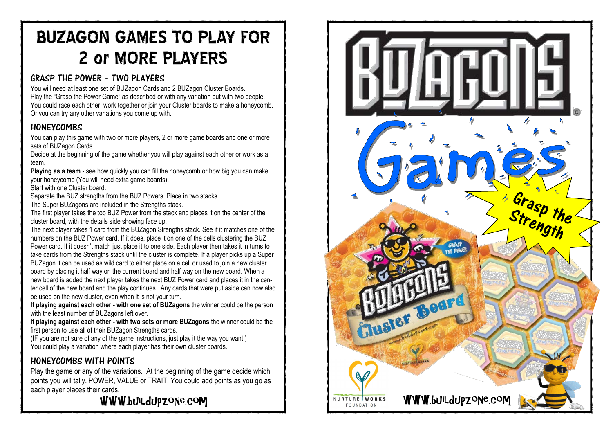# BUZAGON GAMES TO PLAY FOR 2 or MORE PLAYERS

### GRASP THE POWER – TWO PLAYERS

You will need at least one set of BUZagon Cards and 2 BUZagon Cluster Boards. Play the "Grasp the Power Game" as described or with any variation but with two people. You could race each other, work together or join your Cluster boards to make a honeycomb. Or you can try any other variations you come up with.

### **HONEYCOMBS**

You can play this game with two or more players, 2 or more game boards and one or more sets of BUZagon Cards.

Decide at the beginning of the game whether you will play against each other or work as a team.

Playing as a team - see how quickly you can fill the honeycomb or how big you can make your honeycomb (You will need extra game boards).

Start with one Cluster board.

Separate the BUZ strengths from the BUZ Powers. Place in two stacks.

The Super BUZagons are included in the Strengths stack.

The first player takes the top BUZ Power from the stack and places it on the center of the cluster board, with the details side showing face up.

The next player takes 1 card from the BUZagon Strengths stack. See if it matches one of the numbers on the BUZ Power card. If it does, place it on one of the cells clustering the BUZ Power card. If it doesn't match just place it to one side. Each player then takes it in turns to take cards from the Strengths stack until the cluster is complete. If a player picks up a Super BUZagon it can be used as wild card to either place on a cell or used to join a new cluster board by placing it half way on the current board and half way on the new board. When a new board is added the next player takes the next BUZ Power card and places it in the center cell of the new board and the play continues. Any cards that were put aside can now also be used on the new cluster, even when it is not your turn.

**If playing against each other**  - **with one set of BUZagons** the winner could be the person with the least number of BUZagons left over.

**If playing against each other - with two sets or more BUZagons** the winner could be the first person to use all of their BUZagon Strengths cards.

(IF you are not sure of any of the game instructions, just play it the way you want.) You could play a variation where each player has their own cluster boards.

### HONEYCOMBS WITH POINTS

Play the game or any of the variations. At the beginning of the game decide which points you will tally. POWER, VALUE or TRAIT. You could add points as you go as each player places their cards.